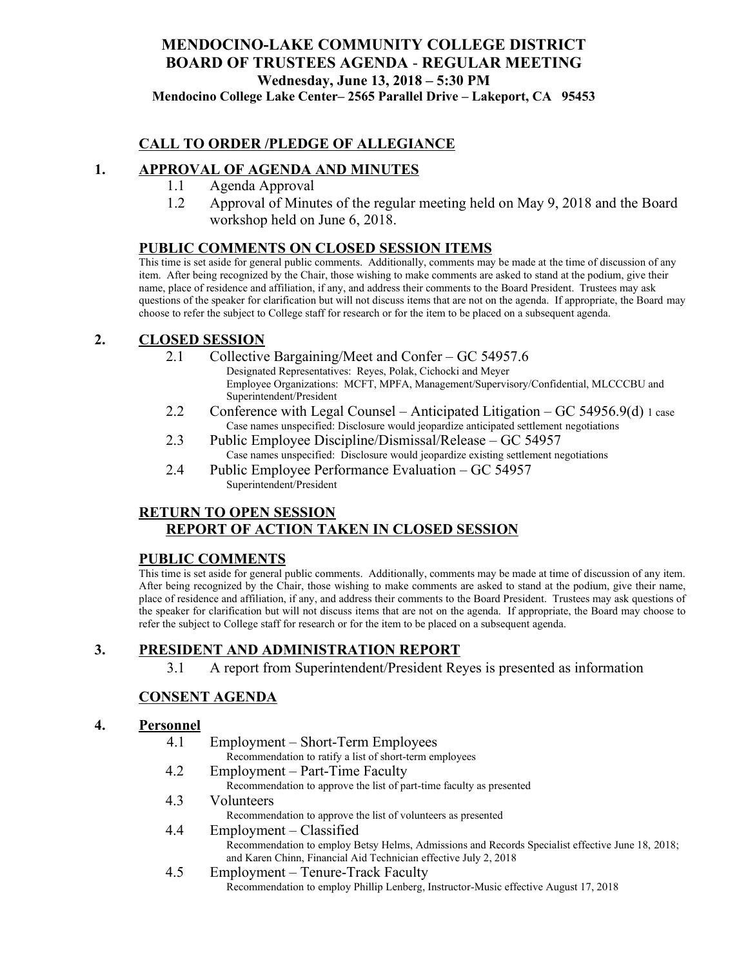# **MENDOCINO-LAKE COMMUNITY COLLEGE DISTRICT BOARD OF TRUSTEES AGENDA** - **REGULAR MEETING Wednesday, June 13, 2018 – 5:30 PM**

**Mendocino College Lake Center– 2565 Parallel Drive – Lakeport, CA 95453**

### **CALL TO ORDER /PLEDGE OF ALLEGIANCE**

### **1. APPROVAL OF AGENDA AND MINUTES**

- 1.1 Agenda Approval
- 1.2 Approval of Minutes of the regular meeting held on May 9, 2018 and the Board workshop held on June 6, 2018.

### **PUBLIC COMMENTS ON CLOSED SESSION ITEMS**

This time is set aside for general public comments. Additionally, comments may be made at the time of discussion of any item. After being recognized by the Chair, those wishing to make comments are asked to stand at the podium, give their name, place of residence and affiliation, if any, and address their comments to the Board President. Trustees may ask questions of the speaker for clarification but will not discuss items that are not on the agenda. If appropriate, the Board may choose to refer the subject to College staff for research or for the item to be placed on a subsequent agenda.

#### **2. CLOSED SESSION**

- 2.1 Collective Bargaining/Meet and Confer GC 54957.6
	- Designated Representatives: Reyes, Polak, Cichocki and Meyer Employee Organizations: MCFT, MPFA, Management/Supervisory/Confidential, MLCCCBU and Superintendent/President
- 2.2 Conference with Legal Counsel Anticipated Litigation GC 54956.9(d) 1 case Case names unspecified: Disclosure would jeopardize anticipated settlement negotiations
- 2.3 Public Employee Discipline/Dismissal/Release GC 54957 Case names unspecified: Disclosure would jeopardize existing settlement negotiations
- 2.4 Public Employee Performance Evaluation GC 54957 Superintendent/President

### **RETURN TO OPEN SESSION REPORT OF ACTION TAKEN IN CLOSED SESSION**

#### **PUBLIC COMMENTS**

This time is set aside for general public comments. Additionally, comments may be made at time of discussion of any item. After being recognized by the Chair, those wishing to make comments are asked to stand at the podium, give their name, place of residence and affiliation, if any, and address their comments to the Board President. Trustees may ask questions of the speaker for clarification but will not discuss items that are not on the agenda. If appropriate, the Board may choose to refer the subject to College staff for research or for the item to be placed on a subsequent agenda.

## **3. PRESIDENT AND ADMINISTRATION REPORT**

3.1 A report from Superintendent/President Reyes is presented as information

## **CONSENT AGENDA**

#### **4. Personnel**

- 4.1 Employment Short-Term Employees Recommendation to ratify a list of short-term employees
- 4.2 Employment Part-Time Faculty Recommendation to approve the list of part-time faculty as presented
- 4.3 Volunteers
	- Recommendation to approve the list of volunteers as presented
- 4.4 Employment Classified Recommendation to employ Betsy Helms, Admissions and Records Specialist effective June 18, 2018; and Karen Chinn, Financial Aid Technician effective July 2, 2018
- 4.5 Employment Tenure-Track Faculty Recommendation to employ Phillip Lenberg, Instructor-Music effective August 17, 2018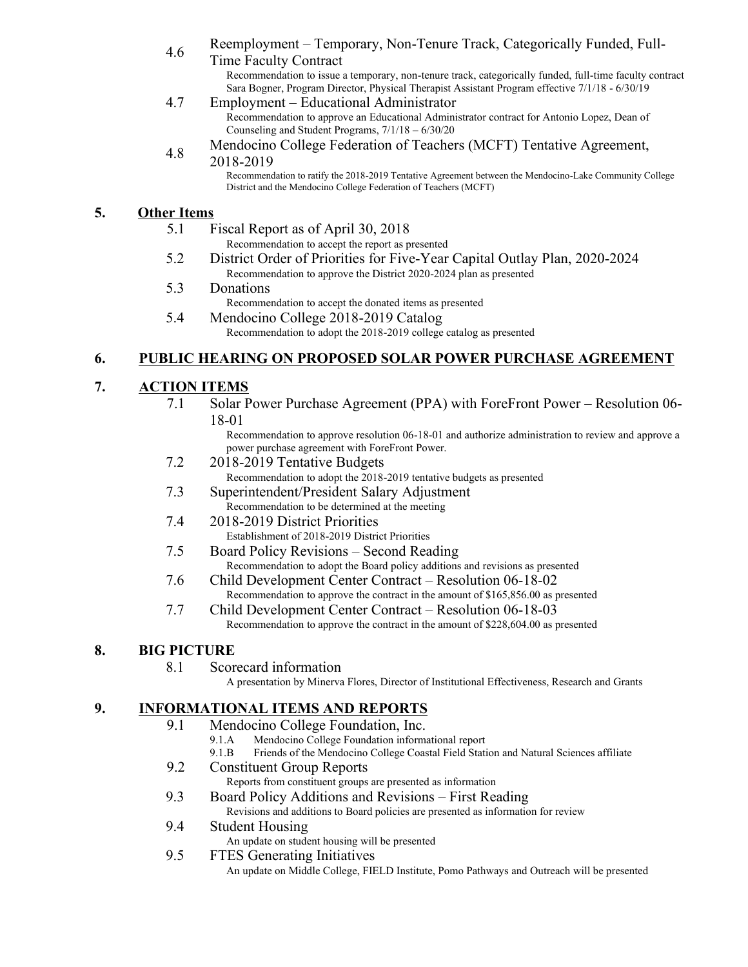A.6 Reemployment – Temporary, Non-Tenure Track, Categorically Funded, Full-

Time Faculty Contract Recommendation to issue a temporary, non-tenure track, categorically funded, full-time faculty contract Sara Bogner, Program Director, Physical Therapist Assistant Program effective 7/1/18 - 6/30/19

- 4.7 Employment Educational Administrator Recommendation to approve an Educational Administrator contract for Antonio Lopez, Dean of Counseling and Student Programs, 7/1/18 – 6/30/20
- 4.8 Mendocino College Federation of Teachers (MCFT) Tentative Agreement,

#### 2018-2019

Recommendation to ratify the 2018-2019 Tentative Agreement between the Mendocino-Lake Community College District and the Mendocino College Federation of Teachers (MCFT)

## **5. Other Items**

- 5.1 Fiscal Report as of April 30, 2018 Recommendation to accept the report as presented
- 5.2 District Order of Priorities for Five-Year Capital Outlay Plan, 2020-2024 Recommendation to approve the District 2020-2024 plan as presented
- 5.3 Donations

Recommendation to accept the donated items as presented

5.4 Mendocino College 2018-2019 Catalog

Recommendation to adopt the 2018-2019 college catalog as presented

### **6. PUBLIC HEARING ON PROPOSED SOLAR POWER PURCHASE AGREEMENT**

## **7. ACTION ITEMS**

7.1 Solar Power Purchase Agreement (PPA) with ForeFront Power – Resolution 06- 18-01

Recommendation to approve resolution 06-18-01 and authorize administration to review and approve a power purchase agreement with ForeFront Power.

- 7.2 2018-2019 Tentative Budgets
	- Recommendation to adopt the 2018-2019 tentative budgets as presented
- 7.3 Superintendent/President Salary Adjustment Recommendation to be determined at the meeting
- 7.4 2018-2019 District Priorities Establishment of 2018-2019 District Priorities
- 7.5 Board Policy Revisions Second Reading Recommendation to adopt the Board policy additions and revisions as presented
- 7.6 Child Development Center Contract Resolution 06-18-02 Recommendation to approve the contract in the amount of \$165,856.00 as presented
- 7.7 Child Development Center Contract Resolution 06-18-03 Recommendation to approve the contract in the amount of \$228,604.00 as presented

## **8. BIG PICTURE**

8.1 Scorecard information

A presentation by Minerva Flores, Director of Institutional Effectiveness, Research and Grants

## **9. INFORMATIONAL ITEMS AND REPORTS**

- 9.1 Mendocino College Foundation, Inc.
	- 9.1.A Mendocino College Foundation informational report
	- 9.1.B Friends of the Mendocino College Coastal Field Station and Natural Sciences affiliate
- 9.2 Constituent Group Reports
	- Reports from constituent groups are presented as information
- 9.3 Board Policy Additions and Revisions First Reading Revisions and additions to Board policies are presented as information for review
- 9.4 Student Housing
	- An update on student housing will be presented
- 9.5 FTES Generating Initiatives

An update on Middle College, FIELD Institute, Pomo Pathways and Outreach will be presented